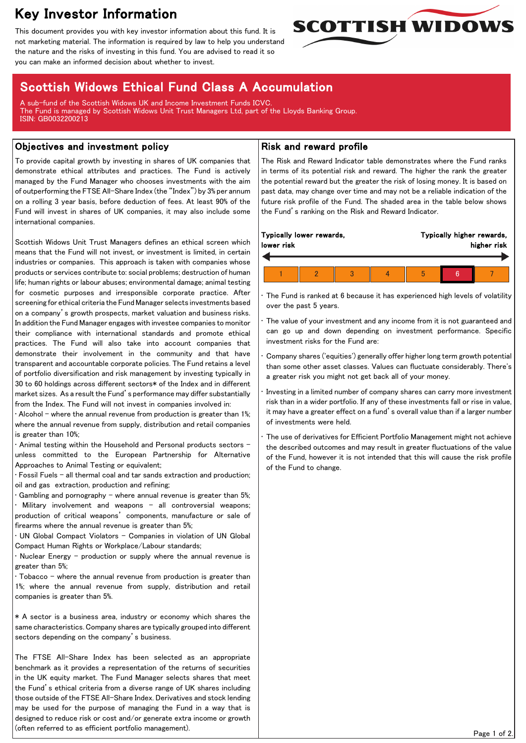# Key Investor Information

This document provides you with key investor information about this fund. It is not marketing material. The information is required by law to help you understand the nature and the risks of investing in this fund. You are advised to read it so you can make an informed decision about whether to invest.



## Scottish Widows Ethical Fund Class A Accumulation

A sub-fund of the Scottish Widows UK and Income Investment Funds ICVC. The Fund is managed by Scottish Widows Unit Trust Managers Ltd, part of the Lloyds Banking Group. ISIN: GB0032200213

#### Objectives and investment policy

To provide capital growth by investing in shares of UK companies that demonstrate ethical attributes and practices. The Fund is actively managed by the Fund Manager who chooses investments with the aim of outperforming the FTSE All-Share Index (the "Index") by 3% per annum on a rolling 3 year basis, before deduction of fees. At least 90% of the Fund will invest in shares of UK companies, it may also include some international companies.

Scottish Widows Unit Trust Managers defines an ethical screen which means that the Fund will not invest, or investment is limited, in certain industries or companies. This approach is taken with companies whose products or services contribute to: social problems; destruction of human life; human rights or labour abuses; environmental damage; animal testing for cosmetic purposes and irresponsible corporate practice. After screening for ethical criteria the Fund Manager selects investments based on a company's growth prospects, market valuation and business risks. In addition the Fund Manager engages with investee companies to monitor their compliance with international standards and promote ethical practices. The Fund will also take into account companies that demonstrate their involvement in the community and that have transparent and accountable corporate policies. The Fund retains a level of portfolio diversification and risk management by investing typically in 30 to 60 holdings across different sectors\* of the Index and in different market sizes. As a result the Fund's performance may differ substantially from the Index. The Fund will not invest in companies involved in:

• Alcohol – where the annual revenue from production is greater than 1%; where the annual revenue from supply, distribution and retail companies is greater than 10%;

• Animal testing within the Household and Personal products sectors unless committed to the European Partnership for Alternative Approaches to Animal Testing or equivalent;

• Fossil Fuels – all thermal coal and tar sands extraction and production; oil and gas extraction, production and refining;

Gambling and pornography - where annual revenue is greater than  $5\%$ ; Military involvement and weapons - all controversial weapons; production of critical weapons' components, manufacture or sale of firearms where the annual revenue is greater than 5%;

• UN Global Compact Violators - Companies in violation of UN Global Compact Human Rights or Workplace/Labour standards;

• Nuclear Energy – production or supply where the annual revenue is greater than 5%;

• Tobacco – where the annual revenue from production is greater than 1%; where the annual revenue from supply, distribution and retail companies is greater than 5%.

\* A sector is a business area, industry or economy which shares the same characteristics. Company shares are typically grouped into different sectors depending on the company's business.

The FTSE All-Share Index has been selected as an appropriate benchmark as it provides a representation of the returns of securities in the UK equity market. The Fund Manager selects shares that meet the Fund's ethical criteria from a diverse range of UK shares including those outside of the FTSE All-Share Index. Derivatives and stock lending may be used for the purpose of managing the Fund in a way that is designed to reduce risk or cost and/or generate extra income or growth (often referred to as efficient portfolio management).

#### Risk and reward profile

The Risk and Reward Indicator table demonstrates where the Fund ranks in terms of its potential risk and reward. The higher the rank the greater the potential reward but the greater the risk of losing money. It is based on past data, may change over time and may not be a reliable indication of the future risk profile of the Fund. The shaded area in the table below shows the Fund's ranking on the Risk and Reward Indicator.

| Typically lower rewards,<br>lower risk |  |  |  | Typically higher rewards,<br>higher risk |  |  |  |  |
|----------------------------------------|--|--|--|------------------------------------------|--|--|--|--|
|                                        |  |  |  |                                          |  |  |  |  |
|                                        |  |  |  | b                                        |  |  |  |  |

The Fund is ranked at 6 because it has experienced high levels of volatility over the past 5 years.

The value of your investment and any income from it is not guaranteed and can go up and down depending on investment performance. Specific investment risks for the Fund are:

• Company shares ('equities') generally offer higher long term growth potential than some other asset classes. Values can fluctuate considerably. There's a greater risk you might not get back all of your money.

• Investing in a limited number of company shares can carry more investment risk than in a wider portfolio. If any of these investments fall or rise in value, it may have a greater effect on a fund's overall value than if a larger number of investments were held.

The use of derivatives for Efficient Portfolio Management might not achieve the described outcomes and may result in greater fluctuations of the value of the Fund, however it is not intended that this will cause the risk profile of the Fund to change.